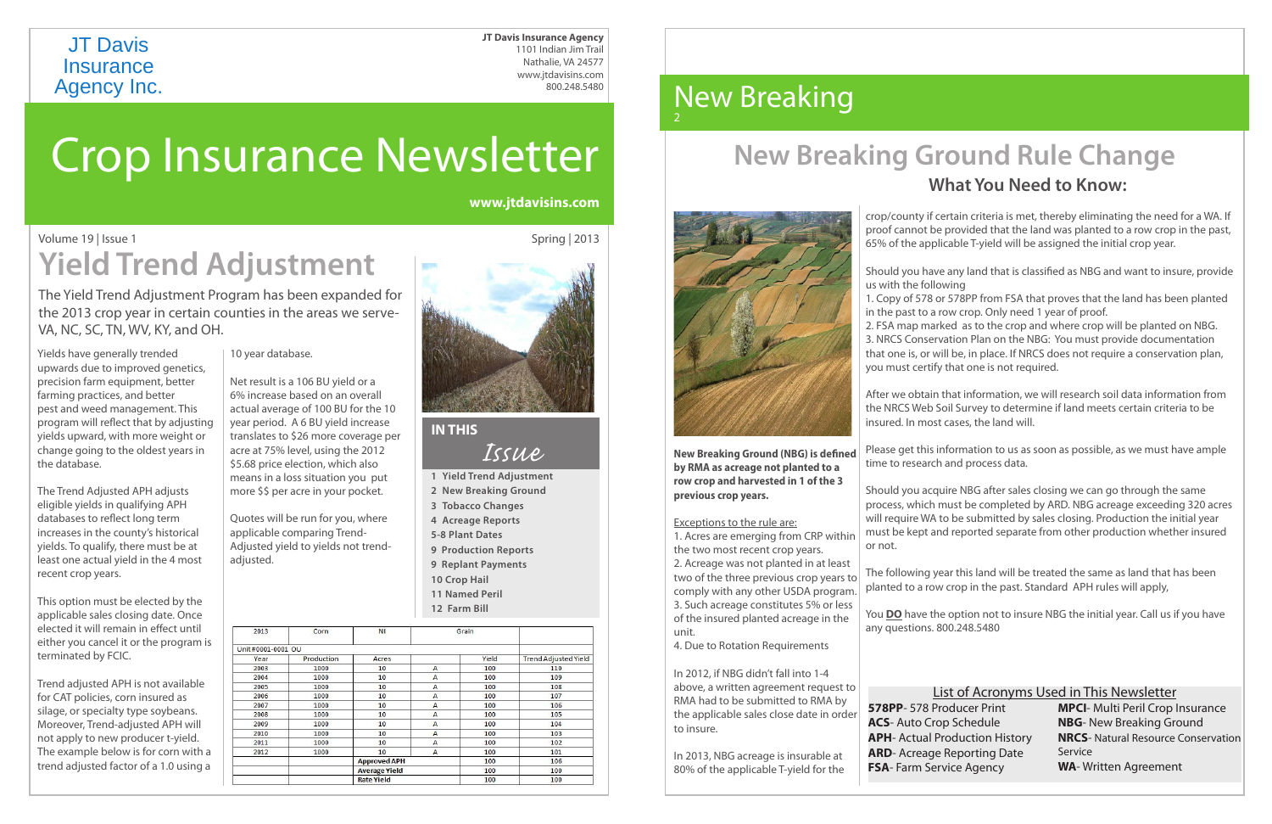# Crop Insurance Newsletter

Spring | 2013

Yields have generally trended upwards due to improved genetics, precision farm equipment, better farming practices, and better pest and weed management. This program will reflect that by adjusting yields upward, with more weight or change going to the oldest years in the database.

The Trend Adjusted APH adjusts eligible yields in qualifying APH databases to reflect long term increases in the county's historical yields. To qualify, there must be at least one actual yield in the 4 most recent crop years.

This option must be elected by the applicable sales closing date. Once elected it will remain in effect until either you cancel it or the program is terminated by FCIC.

Trend adjusted APH is not available for CAT policies, corn insured as silage, or specialty type soybeans. Moreover, Trend-adjusted APH will not apply to new producer t-yield. The example below is for corn with a trend adjusted factor of a 1.0 using a

# JT Davis Insurance<br>Agency Inc.

| 2013               | Corn       | NI                   | Grain          |       |                             |
|--------------------|------------|----------------------|----------------|-------|-----------------------------|
| Unit #0001-0001_OU |            |                      |                |       |                             |
| Year               | Production | Acres                |                | Yield | <b>Trend Adjusted Yield</b> |
| 2003               | 1000       | 10                   | A              | 100   | 110                         |
| 2004               | 1000       | 10                   | $\overline{A}$ | 100   | 109                         |
| 2005               | 1000       | 10                   | A              | 100   | 108                         |
| 2006               | 1000       | 10                   | A              | 100   | 107                         |
| 2007               | 1000       | 10                   | A              | 100   | 106                         |
| 2008               | 1000       | 10                   | A              | 100   | 105                         |
| 2009               | 1000       | 10                   | A              | 100   | 104                         |
| 2010               | 1000       | 10                   | A              | 100   | 103                         |
| 2011               | 1000       | 10                   | A              | 100   | 102                         |
| 2012               | 1000       | 10                   | A              | 100   | 101                         |
|                    |            | <b>Approved APH</b>  |                | 100   | 106                         |
|                    |            | <b>Average Yield</b> |                | 100   | 100                         |
|                    |            | <b>Rate Yield</b>    |                | 100   | 100                         |

#### 10 year database.

Net result is a 106 BU yield 6% increase based on an actual average of 100 BU year period. A 6 BU yield translates to \$26 more co acre at 75% level, using the \$5.68 price election, which means in a loss situation more  $$$  \$ per acre in your

### Volume 19 | Issue 1 **Yield Trend Adjustment**

Quotes will be run for you, where applicable comparing Trend-Adjusted yield to yields not trendadjusted.

#### **New Breaking** 2

**www.jtdavisins.com**

The Yield Trend Adjustment Program has been expanded for the 2013 crop year in certain counties in the areas we serve-VA, NC, SC, TN, WV, KY, and OH.

**JT Davis Insurance Agency** 1101 Indian Jim Trail Nathalie, VA 24577 www.jtdavisins.com 800.248.5480

> **New Breaking Ground (NBG) is defined by RMA as acreage not planted to a row crop and harvested in 1 of the 3 previous crop years.**

#### Exceptions to the rule are:

1. Acres are emerging from CRP within the two most recent crop years.

2. Acreage was not planted in at least two of the three previous crop years to comply with any other USDA program. 3. Such acreage constitutes 5% or less of the insured planted acreage in the unit.

4. Due to Rotation Requirements

In 2012, if NBG didn't fall into 1-4 above, a written agreement request to RMA had to be submitted to RMA by the applicable sales close date in order to insure.

In 2013, NBG acreage is insurable at 80% of the applicable T-yield for the

| List of Acronyms Used in This Newsletter |                                            |  |  |  |  |  |  |  |  |
|------------------------------------------|--------------------------------------------|--|--|--|--|--|--|--|--|
| <b>Producer Print</b>                    | <b>MPCI-</b> Multi Peril Crop Insurance    |  |  |  |  |  |  |  |  |
| rop Schedule                             | <b>NBG-</b> New Breaking Ground            |  |  |  |  |  |  |  |  |
| <b>Production History</b>                | <b>NRCS-</b> Natural Resource Conservation |  |  |  |  |  |  |  |  |
| e Reporting Date                         | Service                                    |  |  |  |  |  |  |  |  |
| ervice Agency                            | <b>WA-</b> Written Agreement               |  |  |  |  |  |  |  |  |
|                                          |                                            |  |  |  |  |  |  |  |  |

# **New Breaking Ground Rule Change**



#### **What You Need to Know:**

crop/county if certain criteria is met, thereby eliminating the need for a WA. If proof cannot be provided that the land was planted to a row crop in the past, 65% of the applicable T-yield will be assigned the initial crop year.

| d or a<br>overall |                          |
|-------------------|--------------------------|
| for the 10        |                          |
| increase          | <b>IN THIS</b>           |
| verage per        |                          |
| he 2012           | Issue                    |
| ch also           |                          |
| you put           | 1 Yield Trend Adjustment |
| pocket.           | 2 New Breaking Ground    |
|                   | <b>3 Tobacco Changes</b> |
| u, where          | 4 Acreage Reports        |

us with the following

- Should you have any land that is classified as NBG and want to insure, provide
- 1. Copy of 578 or 578PP from FSA that proves that the land has been planted in the past to a row crop. Only need 1 year of proof.
- 2. FSA map marked as to the crop and where crop will be planted on NBG. 3. NRCS Conservation Plan on the NBG: You must provide documentation that one is, or will be, in place. If NRCS does not require a conservation plan, you must certify that one is not required.

After we obtain that information, we will research soil data information from the NRCS Web Soil Survey to determine if land meets certain criteria to be insured. In most cases, the land will.

Please get this information to us as soon as possible, as we must have ample time to research and process data.

Should you acquire NBG after sales closing we can go through the same process, which must be completed by ARD. NBG acreage exceeding 320 acres will require WA to be submitted by sales closing. Production the initial year must be kept and reported separate from other production whether insured or not.

The following year this land will be treated the same as land that has been planted to a row crop in the past. Standard APH rules will apply,

You **DO** have the option not to insure NBG the initial year. Call us if you have any questions. 800.248.5480

578PP- 578 P **ACS**- Auto Cr **APH-Actual ARD**- Acreag **FSA**- Farm Se

**5-8 Plant Dates**

- **9 Production Reports**
- **9 Replant Payments**
- **10 Crop Hail**
- **11 Named Peril**
- **12 Farm Bill**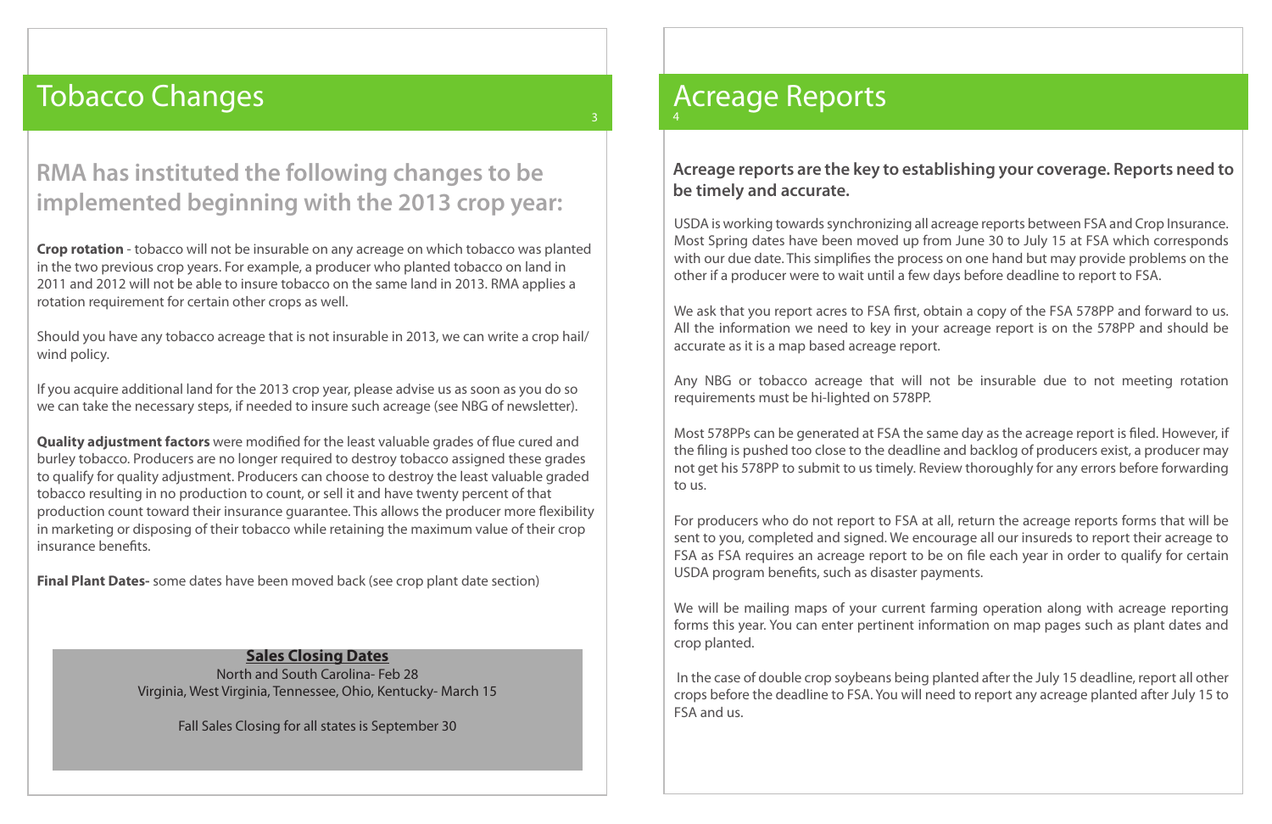# Tobacco Changes

### **RMA has instituted the following changes to be implemented beginning with the 2013 crop year:**

3

**Crop rotation** - tobacco will not be insurable on any acreage on which tobacco was planted in the two previous crop years. For example, a producer who planted tobacco on land in 2011 and 2012 will not be able to insure tobacco on the same land in 2013. RMA applies a rotation requirement for certain other crops as well.

Should you have any tobacco acreage that is not insurable in 2013, we can write a crop hail/ wind policy.

If you acquire additional land for the 2013 crop year, please advise us as soon as you do so we can take the necessary steps, if needed to insure such acreage (see NBG of newsletter).

**Quality adjustment factors** were modified for the least valuable grades of flue cured and burley tobacco. Producers are no longer required to destroy tobacco assigned these grades to qualify for quality adjustment. Producers can choose to destroy the least valuable graded tobacco resulting in no production to count, or sell it and have twenty percent of that production count toward their insurance guarantee. This allows the producer more flexibility in marketing or disposing of their tobacco while retaining the maximum value of their crop insurance benefits.

We ask that you report acres to FSA first, obtain a copy of the FSA 578PP and forward to us. All the information we need to key in your acreage report is on the 578PP and should be accurate as it is a map based acreage report.

**Final Plant Dates-** some dates have been moved back (see crop plant date section)

# Acreage Reports

#### **Acreage reports are the key to establishing your coverage. Reports need to be timely and accurate.**

USDA is working towards synchronizing all acreage reports between FSA and Crop Insurance. Most Spring dates have been moved up from June 30 to July 15 at FSA which corresponds with our due date. This simplifies the process on one hand but may provide problems on the other if a producer were to wait until a few days before deadline to report to FSA.

Any NBG or tobacco acreage that will not be insurable due to not meeting rotation requirements must be hi-lighted on 578PP.

Most 578PPs can be generated at FSA the same day as the acreage report is filed. However, if the filing is pushed too close to the deadline and backlog of producers exist, a producer may not get his 578PP to submit to us timely. Review thoroughly for any errors before forwarding to us.

For producers who do not report to FSA at all, return the acreage reports forms that will be sent to you, completed and signed. We encourage all our insureds to report their acreage to FSA as FSA requires an acreage report to be on file each year in order to qualify for certain USDA program benefits, such as disaster payments.

We will be mailing maps of your current farming operation along with acreage reporting forms this year. You can enter pertinent information on map pages such as plant dates and crop planted.

 In the case of double crop soybeans being planted after the July 15 deadline, report all other crops before the deadline to FSA. You will need to report any acreage planted after July 15 to FSA and us.

#### **Sales Closing Dates**

North and South Carolina- Feb 28 Virginia, West Virginia, Tennessee, Ohio, Kentucky- March 15

Fall Sales Closing for all states is September 30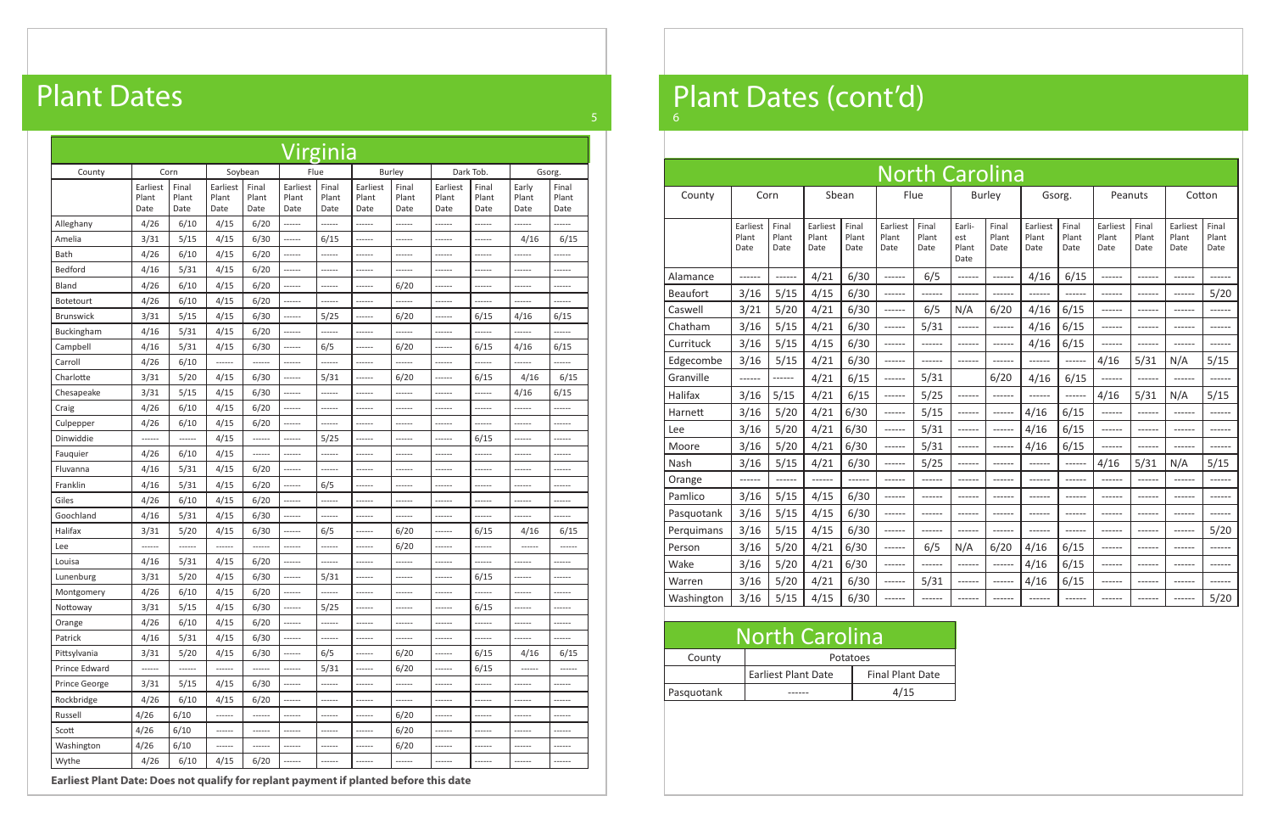| <b>North Carolina</b> |                           |                        |                           |                        |                           |                        |                                |                        |                           |                        |                           |                        |                           |                        |
|-----------------------|---------------------------|------------------------|---------------------------|------------------------|---------------------------|------------------------|--------------------------------|------------------------|---------------------------|------------------------|---------------------------|------------------------|---------------------------|------------------------|
| County                | Corn                      |                        | Sbean                     |                        |                           | Flue                   |                                | <b>Burley</b>          | Gsorg.                    |                        | Peanuts                   |                        | Cotton                    |                        |
|                       |                           |                        |                           |                        |                           |                        |                                |                        |                           |                        |                           |                        |                           |                        |
|                       | Earliest<br>Plant<br>Date | Final<br>Plant<br>Date | Earliest<br>Plant<br>Date | Final<br>Plant<br>Date | Earliest<br>Plant<br>Date | Final<br>Plant<br>Date | Earli-<br>est<br>Plant<br>Date | Final<br>Plant<br>Date | Earliest<br>Plant<br>Date | Final<br>Plant<br>Date | Earliest<br>Plant<br>Date | Final<br>Plant<br>Date | Earliest<br>Plant<br>Date | Final<br>Plant<br>Date |
| Alamance              |                           | ------                 | 4/21                      | 6/30                   | ------                    | 6/5                    | ------                         | ------                 | 4/16                      | 6/15                   | ------                    | $---$                  | ------                    |                        |
| <b>Beaufort</b>       | 3/16                      | 5/15                   | 4/15                      | 6/30                   | ------                    | ------                 | ------                         | ------                 | ------                    | ------                 | ------                    | ------                 | ------                    | 5/20                   |
| Caswell               | 3/21                      | 5/20                   | 4/21                      | 6/30                   | ------                    | 6/5                    | N/A                            | 6/20                   | 4/16                      | 6/15                   | ------                    |                        | -----                     |                        |
| Chatham               | 3/16                      | 5/15                   | 4/21                      | 6/30                   | ------                    | 5/31                   | ------                         | $-----$                | 4/16                      | 6/15                   | ------                    |                        |                           |                        |
| Currituck             | 3/16                      | 5/15                   | 4/15                      | 6/30                   | ------                    | ------                 | ------                         | ------                 | 4/16                      | 6/15                   | ------                    | ------                 |                           |                        |
| Edgecombe             | 3/16                      | 5/15                   | 4/21                      | 6/30                   | ------                    | ------                 | ------                         |                        | ------                    | ------                 | 4/16                      | 5/31                   | N/A                       | 5/15                   |
| Granville             | ------                    | ------                 | 4/21                      | 6/15                   | ------                    | 5/31                   |                                | 6/20                   | 4/16                      | 6/15                   | ------                    | ------                 | ------                    | -----                  |
| Halifax               | 3/16                      | 5/15                   | 4/21                      | 6/15                   | ------                    | 5/25                   | ------                         | ------                 |                           | ------                 | 4/16                      | 5/31                   | N/A                       | 5/15                   |
| Harnett               | 3/16                      | 5/20                   | 4/21                      | 6/30                   | ------                    | 5/15                   | ------                         | ------                 | 4/16                      | 6/15                   | ------                    | ------                 | ------                    | -----                  |
| Lee                   | 3/16                      | 5/20                   | 4/21                      | 6/30                   | ------                    | 5/31                   | ------                         | ------                 | 4/16                      | 6/15                   | ------                    | ----                   |                           |                        |
| Moore                 | 3/16                      | 5/20                   | 4/21                      | 6/30                   | $--- - - -$               | 5/31                   | ------                         | ------                 | 4/16                      | 6/15                   | ------                    | ------                 | ------                    |                        |
| Nash                  | 3/16                      | 5/15                   | 4/21                      | 6/30                   | ------                    | 5/25                   | ------                         | ------                 | ------                    | ------                 | 4/16                      | 5/31                   | N/A                       | 5/15                   |
| Orange                |                           | ------                 |                           |                        | ------                    | ------                 | $- - - - -$                    | ------                 | ------                    | ------                 | ------                    | ------                 | ------                    |                        |
| Pamlico               | 3/16                      | 5/15                   | 4/15                      | 6/30                   | ------                    | ------                 | ------                         | ------                 | ------                    | ------                 | ------                    | ------                 | ------                    |                        |
| Pasquotank            | 3/16                      | 5/15                   | 4/15                      | 6/30                   | ------                    | ------                 | ------                         | ------                 | ------                    | ------                 | ------                    | ------                 | ------                    | $--- - - -$            |
| Perquimans            | 3/16                      | 5/15                   | 4/15                      | 6/30                   | ------                    | ------                 | ------                         | ------                 | ------                    | ------                 | ------                    |                        | ------                    | 5/20                   |
| Person                | 3/16                      | 5/20                   | 4/21                      | 6/30                   | ------                    | 6/5                    | N/A                            | 6/20                   | 4/16                      | 6/15                   | ------                    | ------                 | ------                    | -----                  |
| Wake                  | 3/16                      | 5/20                   | 4/21                      | 6/30                   | ------                    |                        | ------                         | $-----$                | 4/16                      | 6/15                   | -------                   |                        |                           |                        |
| Warren                | 3/16                      | 5/20                   | 4/21                      | 6/30                   | ------                    | 5/31                   | ------                         | ------                 | 4/16                      | 6/15                   | ------                    | ------                 | $--- - - -$               |                        |
| Washington            | 3/16                      | 5/15                   | 4/15                      | 6/30                   | ------                    |                        | ------                         |                        |                           | ------                 | ------                    |                        | $---$                     | 5/20                   |

|            | <b>North Carolina</b>      |                         |
|------------|----------------------------|-------------------------|
| County     | Potatoes                   |                         |
|            | <b>Earliest Plant Date</b> | <b>Final Plant Date</b> |
| Pasquotank |                            | 4/15                    |

| <b>Virginia</b>  |                           |                        |                           |                        |                           |                        |                           |                        |                           |                        |                        |                        |  |
|------------------|---------------------------|------------------------|---------------------------|------------------------|---------------------------|------------------------|---------------------------|------------------------|---------------------------|------------------------|------------------------|------------------------|--|
| County           | Soybean<br>Corn           |                        |                           |                        |                           | Flue                   |                           | <b>Burley</b>          |                           | Dark Tob.              |                        | Gsorg.                 |  |
|                  | Earliest<br>Plant<br>Date | Final<br>Plant<br>Date | Earliest<br>Plant<br>Date | Final<br>Plant<br>Date | Earliest<br>Plant<br>Date | Final<br>Plant<br>Date | Earliest<br>Plant<br>Date | Final<br>Plant<br>Date | Earliest<br>Plant<br>Date | Final<br>Plant<br>Date | Early<br>Plant<br>Date | Final<br>Plant<br>Date |  |
| Alleghany        | 4/26                      | 6/10                   | 4/15                      | 6/20                   | ------                    | ------                 | ------                    | ------                 | $------$                  | ------                 | ------                 | $-----1$               |  |
| Amelia           | 3/31                      | 5/15                   | 4/15                      | 6/30                   | ------                    | 6/15                   | ------                    | ------                 | ------                    | ------                 | 4/16                   | 6/15                   |  |
| Bath             | 4/26                      | 6/10                   | 4/15                      | 6/20                   | $- - - - - -$             | ------                 | $- - - - - -$             | ------                 | $- - - - - -$             | ------                 | ------                 | ------                 |  |
| Bedford          | 4/16                      | 5/31                   | 4/15                      | 6/20                   | $- - - - - -$             | ------                 | $- - - - - -$             | ------                 | $- - - - - -$             | ------                 | ------                 | ------                 |  |
| Bland            | 4/26                      | 6/10                   | 4/15                      | 6/20                   | ------                    | ------                 | ------                    | 6/20                   | ------                    | ------                 | ------                 | ------                 |  |
| <b>Botetourt</b> | 4/26                      | 6/10                   | 4/15                      | 6/20                   | ------                    | ------                 | ------                    | ------                 | $-----1$                  | ------                 | ------                 | ------                 |  |
| <b>Brunswick</b> | 3/31                      | 5/15                   | 4/15                      | 6/30                   | ------                    | 5/25                   | ------                    | 6/20                   | $-----1$                  | 6/15                   | 4/16                   | 6/15                   |  |
| Buckingham       | 4/16                      | 5/31                   | 4/15                      | 6/20                   | ------                    | ------                 | ------                    | ------                 | ------                    | ------                 | -----                  | ------                 |  |
| Campbell         | 4/16                      | 5/31                   | 4/15                      | 6/30                   | $- - - - - -$             | 6/5                    | $- - - - - -$             | 6/20                   | $- - - - - -$             | 6/15                   | 4/16                   | 6/15                   |  |
| Carroll          | 4/26                      | 6/10                   | $-----1$                  | ------                 | $- - - - - -$             | ------                 | ------                    | ------                 | $- - - - - -$             | ------                 | ------                 | $- - - - - -$          |  |
| Charlotte        | 3/31                      | 5/20                   | 4/15                      | 6/30                   | ------                    | 5/31                   | ------                    | 6/20                   | $- - - - - -$             | 6/15                   | 4/16                   | 6/15                   |  |
| Chesapeake       | 3/31                      | 5/15                   | 4/15                      | 6/30                   | ------                    | ------                 | ------                    | ------                 | ------                    | ------                 | 4/16                   | 6/15                   |  |
| Craig            | 4/26                      | 6/10                   | 4/15                      | 6/20                   | ------                    | ------                 | ------                    | ------                 | $- - - - - -$             | ------                 | ------                 | ------                 |  |
| Culpepper        | 4/26                      | 6/10                   | 4/15                      | 6/20                   | ------                    | ------                 | ------                    | ------                 | $- - - - - -$             | ------                 | ------                 | ------                 |  |
| Dinwiddie        | ------                    | ------                 | 4/15                      | $- - - - - -$          | $- - - - - -$             | 5/25                   | $- - - - - -$             | ------                 | $- - - - - -$             | 6/15                   | ------                 | ------                 |  |
| Fauguier         | 4/26                      | 6/10                   | 4/15                      | $- - - - - -$          | $- - - - - -$             | ------                 | $- - - - - -$             | ------                 | $- - - - - -$             | ------                 | ------                 | ------                 |  |
| Fluvanna         | 4/16                      | 5/31                   | 4/15                      | 6/20                   | $- - - - - -$             | ------                 | ------                    | ------                 | ------                    | ------                 | ------                 | ------                 |  |
| Franklin         | 4/16                      | 5/31                   | 4/15                      | 6/20                   | ------                    | 6/5                    | ------                    | ------                 | ------                    | ------                 | ------                 | ------                 |  |
| Giles            | 4/26                      | 6/10                   | 4/15                      | 6/20                   | ------                    | ------                 | ------                    | ------                 | $-----1$                  | ------                 | ------                 | ------                 |  |
| Goochland        | 4/16                      | 5/31                   | 4/15                      | 6/30                   | ------                    | ------                 | ------                    |                        | ------                    | ------                 | ------                 | ------                 |  |
| Halifax          | 3/31                      | 5/20                   | 4/15                      | 6/30                   | $- - - - - -$             | 6/5                    | $- - - - - -$             | 6/20                   | $- - - - - -$             | 6/15                   | 4/16                   | 6/15                   |  |
| Lee              | ------                    | ------                 | $- - - - - -$             | $- - - - - -$          | $- - - - - -$             | ------                 | $- - - - - -$             | 6/20                   | $- - - - - -$             | ------                 | ------                 | ------                 |  |
| Louisa           | 4/16                      | 5/31                   | 4/15                      | 6/20                   | ------                    | ------                 | ------                    | ------                 | $- - - - - -$             | ------                 | ------                 | ------                 |  |
| Lunenburg        | 3/31                      | 5/20                   | 4/15                      | 6/30                   | ------                    | 5/31                   | ------                    | ------                 |                           | 6/15                   |                        |                        |  |
| Montgomery       | 4/26                      | 6/10                   | 4/15                      | 6/20                   | ------                    | ------                 | ------                    | ------                 | ------                    | ------                 | ------                 | ------                 |  |
| Nottoway         | 3/31                      | 5/15                   | 4/15                      | 6/30                   | ------                    | 5/25                   | ------                    | ------                 | ------                    | 6/15                   | ------                 | ------                 |  |
| Orange           | 4/26                      | 6/10                   | 4/15                      | 6/20                   | ------                    | ------                 | ------                    | ------                 | $-----1$                  | ------                 | ------                 | $------$               |  |
| Patrick          | 4/16                      | 5/31                   | 4/15                      | 6/30                   | ------                    | ------                 | ------                    | ------                 | ------                    | ------                 | ------                 | ------                 |  |
| Pittsylvania     | 3/31                      | 5/20                   | 4/15                      | 6/30                   | ------                    | 6/5                    | ------                    | 6/20                   | ------                    | 6/15                   | 4/16                   | 6/15                   |  |
| Prince Edward    | ------                    | ------                 | ------                    | ------                 | $-----1$                  | 5/31                   | ------                    | 6/20                   | ------                    | 6/15                   | ------                 | ------                 |  |
| Prince George    | 3/31                      | 5/15                   | 4/15                      | 6/30                   | ------                    | ------                 | ------                    | ------                 | ------                    | ------                 | ------                 | ------                 |  |
| Rockbridge       | 4/26                      | 6/10                   | 4/15                      | 6/20                   | ------                    | ------                 | ------                    | ------                 | ------                    | ------                 | ------                 | ------                 |  |
| Russell          | 4/26                      | 6/10                   | ------                    | ------                 | ------                    | ------                 | ------                    | 6/20                   | ------                    | ------                 | ------                 | ------                 |  |
| Scott            | 4/26                      | 6/10                   | $-----1$                  | $-----1$               | ------                    | ------                 | ------                    | 6/20                   | $-----1$                  | ------                 | ------                 | ------                 |  |
| Washington       | 4/26                      | 6/10                   | ------                    |                        | ------                    | ------                 | ------                    | 6/20                   | ------                    | ------                 | ------                 | ------                 |  |
| Wythe            | 4/26                      | 6/10                   | 4/15                      | 6/20                   | ------                    | ------                 | ------                    | ------                 | $-----$                   | ------                 | ------                 | ------                 |  |

# Plant Dates

**Earliest Plant Date: Does not qualify for replant payment if planted before this date**

5

#### Plant Dates (cont'd) 6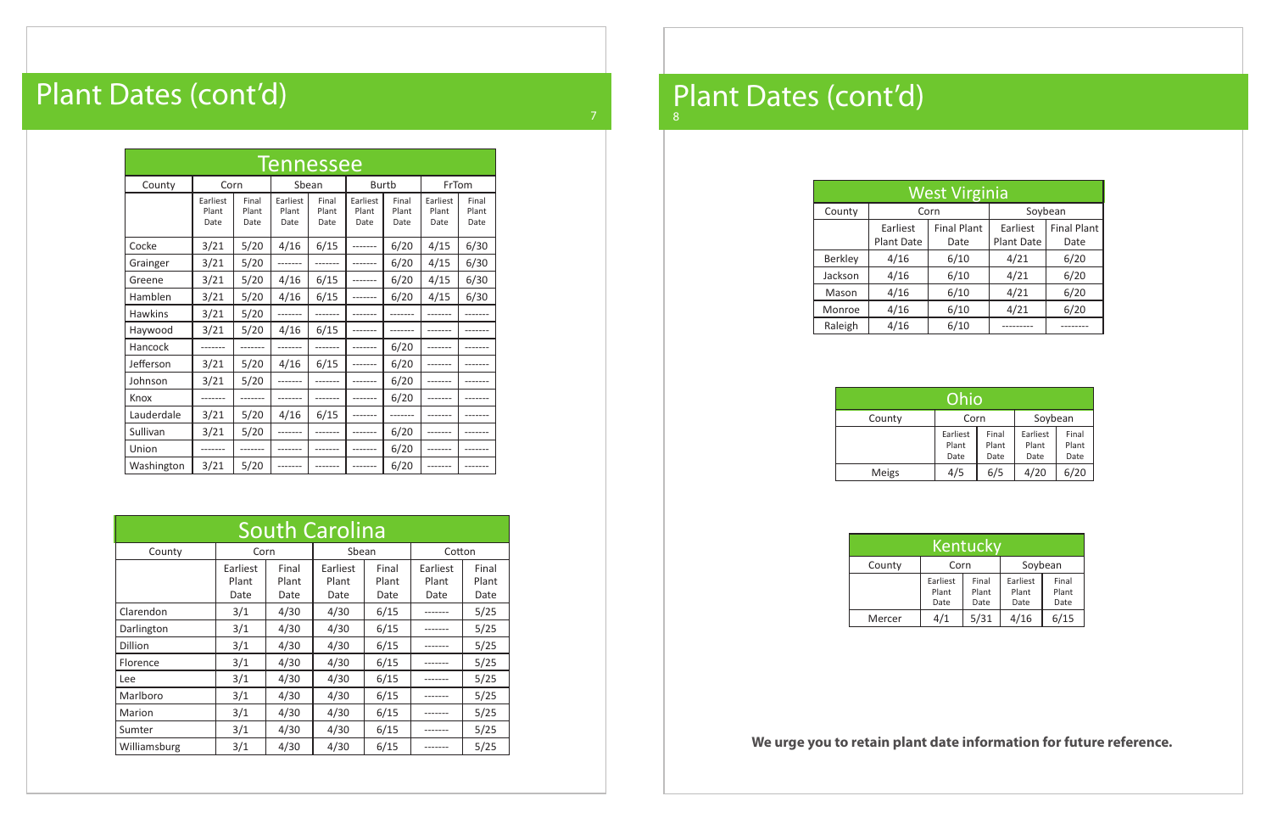| Kentucky |                           |                        |                           |                        |  |  |  |  |  |  |  |
|----------|---------------------------|------------------------|---------------------------|------------------------|--|--|--|--|--|--|--|
| County   | Corn                      |                        | Soybean                   |                        |  |  |  |  |  |  |  |
|          | Earliest<br>Plant<br>Date | Final<br>Plant<br>Date | Earliest<br>Plant<br>Date | Final<br>Plant<br>Date |  |  |  |  |  |  |  |
| Mercer   | 4/1                       | 5/31                   | 4/16                      | 6/15                   |  |  |  |  |  |  |  |

| <b>West Virginia</b> |                        |                            |                        |                            |  |  |  |  |  |  |  |
|----------------------|------------------------|----------------------------|------------------------|----------------------------|--|--|--|--|--|--|--|
| County               |                        | Corn                       | Soybean                |                            |  |  |  |  |  |  |  |
|                      | Earliest<br>Plant Date | <b>Final Plant</b><br>Date | Earliest<br>Plant Date | <b>Final Plant</b><br>Date |  |  |  |  |  |  |  |
| <b>Berkley</b>       | 4/16                   | 6/10                       | 4/21                   | 6/20                       |  |  |  |  |  |  |  |
| Jackson              | 4/16                   | 6/10                       | 4/21                   | 6/20                       |  |  |  |  |  |  |  |
| Mason                | 4/16                   | 6/10                       | 4/21                   | 6/20                       |  |  |  |  |  |  |  |
| Monroe               | 4/16                   | 6/10                       | 4/21                   | 6/20                       |  |  |  |  |  |  |  |
| Raleigh              | 4/16                   | 6/10                       |                        |                            |  |  |  |  |  |  |  |

| <b>South Carolina</b> |                           |                        |                           |                        |                           |                        |  |  |  |  |  |
|-----------------------|---------------------------|------------------------|---------------------------|------------------------|---------------------------|------------------------|--|--|--|--|--|
| County                | Corn                      |                        | Sbean                     |                        | Cotton                    |                        |  |  |  |  |  |
|                       | Earliest<br>Plant<br>Date | Final<br>Plant<br>Date | Earliest<br>Plant<br>Date | Final<br>Plant<br>Date | Earliest<br>Plant<br>Date | Final<br>Plant<br>Date |  |  |  |  |  |
| Clarendon             | 3/1                       | 4/30                   | 4/30                      | 6/15                   |                           | 5/25                   |  |  |  |  |  |
| Darlington            | 3/1                       | 4/30                   | 4/30                      | 6/15                   |                           | 5/25                   |  |  |  |  |  |
| Dillion               | 3/1                       | 4/30                   | 4/30                      | 6/15                   |                           | 5/25                   |  |  |  |  |  |
| Florence              | 3/1                       | 4/30                   | 4/30                      | 6/15                   |                           | 5/25                   |  |  |  |  |  |
| Lee                   | 3/1                       | 4/30                   | 4/30                      | 6/15                   |                           | 5/25                   |  |  |  |  |  |
| Marlboro              | 3/1                       | 4/30                   | 4/30                      | 6/15                   |                           | 5/25                   |  |  |  |  |  |
| Marion                | 3/1                       | 4/30                   | 4/30                      | 6/15                   |                           | 5/25                   |  |  |  |  |  |
| Sumter                | 3/1                       | 4/30                   | 4/30                      | 6/15                   |                           | 5/25                   |  |  |  |  |  |
| Williamsburg          | 3/1                       | 4/30                   | 4/30                      | 6/15                   |                           | 5/25                   |  |  |  |  |  |

| <b>Tennessee</b> |                           |                        |                           |                        |                           |                        |                           |                        |  |  |
|------------------|---------------------------|------------------------|---------------------------|------------------------|---------------------------|------------------------|---------------------------|------------------------|--|--|
| County           | Corn                      |                        | Sbean                     |                        | Burtb                     |                        | FrTom                     |                        |  |  |
|                  | Earliest<br>Plant<br>Date | Final<br>Plant<br>Date | Earliest<br>Plant<br>Date | Final<br>Plant<br>Date | Earliest<br>Plant<br>Date | Final<br>Plant<br>Date | Earliest<br>Plant<br>Date | Final<br>Plant<br>Date |  |  |
| Cocke            | 3/21                      | 5/20                   | 4/16                      | 6/15                   |                           | 6/20                   | 4/15                      | 6/30                   |  |  |
| Grainger         | 3/21                      | 5/20                   |                           |                        |                           | 6/20                   | 4/15                      | 6/30                   |  |  |
| Greene           | 3/21                      | 5/20                   | 4/16                      | 6/15                   |                           | 6/20                   | 4/15                      | 6/30                   |  |  |
| Hamblen          | 3/21                      | 5/20                   | 4/16                      | 6/15                   |                           | 6/20                   | 4/15                      | 6/30                   |  |  |
| <b>Hawkins</b>   | 3/21                      | 5/20                   |                           |                        |                           |                        |                           |                        |  |  |
| Haywood          | 3/21                      | 5/20                   | 4/16                      | 6/15                   |                           |                        |                           |                        |  |  |
| Hancock          |                           |                        |                           |                        |                           | 6/20                   |                           |                        |  |  |
| Jefferson        | 3/21                      | 5/20                   | 4/16                      | 6/15                   |                           | 6/20                   |                           |                        |  |  |
| Johnson          | 3/21                      | 5/20                   |                           |                        |                           | 6/20                   |                           |                        |  |  |
| Knox             |                           |                        |                           |                        |                           | 6/20                   |                           |                        |  |  |
| Lauderdale       | 3/21                      | 5/20                   | 4/16                      | 6/15                   |                           |                        |                           |                        |  |  |
| Sullivan         | 3/21                      | 5/20                   |                           |                        |                           | 6/20                   |                           |                        |  |  |
| Union            |                           |                        |                           |                        | -------                   | 6/20                   |                           |                        |  |  |
| Washington       | 3/21                      | 5/20                   |                           |                        | -------                   | 6/20                   |                           |                        |  |  |

# Plant Dates (cont'd)

| Ohio         |                           |                        |                           |                        |  |  |  |  |  |  |  |
|--------------|---------------------------|------------------------|---------------------------|------------------------|--|--|--|--|--|--|--|
| County       | Soybean<br>Corn           |                        |                           |                        |  |  |  |  |  |  |  |
|              | Earliest<br>Plant<br>Date | Final<br>Plant<br>Date | Earliest<br>Plant<br>Date | Final<br>Plant<br>Date |  |  |  |  |  |  |  |
| <b>Meigs</b> | 4/5                       | 6/5                    | 4/20                      | 6/20                   |  |  |  |  |  |  |  |

#### Plant Dates (cont'd) 8

**We urge you to retain plant date information for future reference.**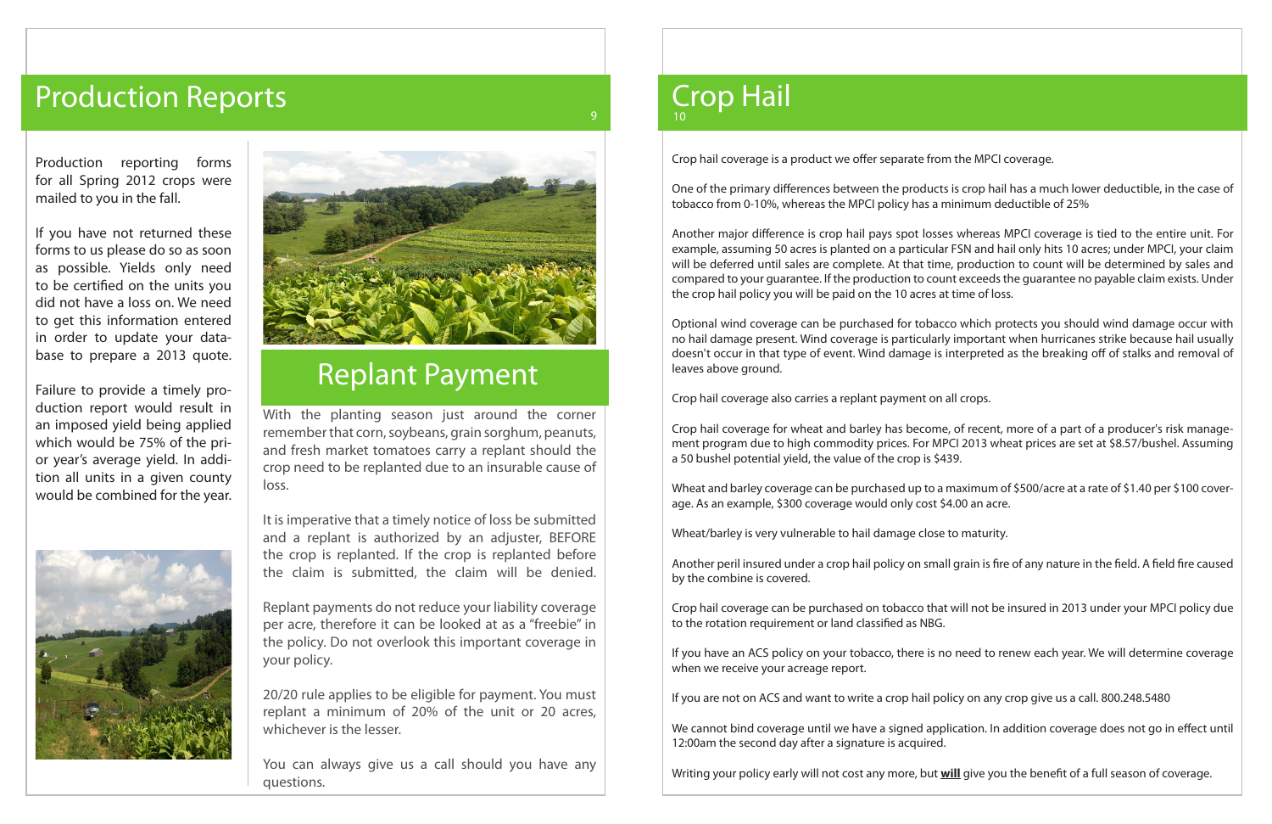With the planting season just around the corner remember that corn, soybeans, grain sorghum, peanuts, and fresh market tomatoes carry a replant should the crop need to be replanted due to an insurable cause of loss.

It is imperative that a timely notice of loss be submitted and a replant is authorized by an adjuster, BEFORE the crop is replanted. If the crop is replanted before the claim is submitted, the claim will be denied.

Replant payments do not reduce your liability coverage per acre, therefore it can be looked at as a "freebie" in the policy. Do not overlook this important coverage in your policy.

20/20 rule applies to be eligible for payment. You must replant a minimum of 20% of the unit or 20 acres, whichever is the lesser.

You can always give us a call should you have any questions.

# Production Reports

Production reporting forms for all Spring 2012 crops were mailed to you in the fall.

If you have not returned these forms to us please do so as soon as possible. Yields only need to be certified on the units you did not have a loss on. We need to get this information entered in order to update your database to prepare a 2013 quote.

Failure to provide a timely production report would result in an imposed yield being applied which would be 75% of the prior year's average yield. In addition all units in a given county would be combined for the year.





# Replant Payment

Crop hail coverage is a product we offer separate from the MPCI coverage.

One of the primary differences between the products is crop hail has a much lower deductible, in the case of tobacco from 0-10%, whereas the MPCI policy has a minimum deductible of 25%

Another major difference is crop hail pays spot losses whereas MPCI coverage is tied to the entire unit. For example, assuming 50 acres is planted on a particular FSN and hail only hits 10 acres; under MPCI, your claim will be deferred until sales are complete. At that time, production to count will be determined by sales and compared to your guarantee. If the production to count exceeds the guarantee no payable claim exists. Under the crop hail policy you will be paid on the 10 acres at time of loss.

Optional wind coverage can be purchased for tobacco which protects you should wind damage occur with no hail damage present. Wind coverage is particularly important when hurricanes strike because hail usually doesn't occur in that type of event. Wind damage is interpreted as the breaking off of stalks and removal of leaves above ground.

Crop hail coverage also carries a replant payment on all crops.

#### Crop Hail 9 10

Crop hail coverage for wheat and barley has become, of recent, more of a part of a producer's risk management program due to high commodity prices. For MPCI 2013 wheat prices are set at \$8.57/bushel. Assuming a 50 bushel potential yield, the value of the crop is \$439.

Wheat and barley coverage can be purchased up to a maximum of \$500/acre at a rate of \$1.40 per \$100 coverage. As an example, \$300 coverage would only cost \$4.00 an acre.

Wheat/barley is very vulnerable to hail damage close to maturity.

Another peril insured under a crop hail policy on small grain is fire of any nature in the field. A field fire caused by the combine is covered.

Crop hail coverage can be purchased on tobacco that will not be insured in 2013 under your MPCI policy due to the rotation requirement or land classified as NBG.

If you have an ACS policy on your tobacco, there is no need to renew each year. We will determine coverage when we receive your acreage report.

If you are not on ACS and want to write a crop hail policy on any crop give us a call. 800.248.5480

We cannot bind coverage until we have a signed application. In addition coverage does not go in effect until 12:00am the second day after a signature is acquired.

Writing your policy early will not cost any more, but **will** give you the benefit of a full season of coverage.